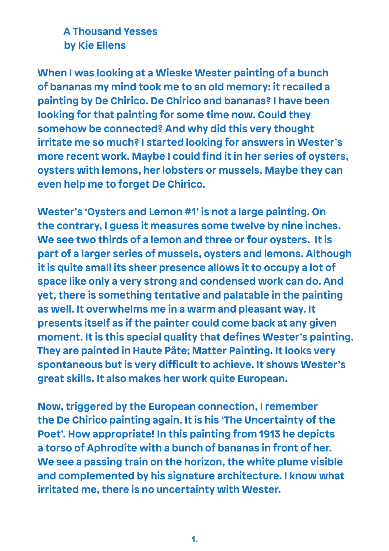## **A Thousand Yesses by Kie Ellens**

**When I was looking at a Wieske Wester painting of a bunch of bananas my mind took me to an old memory: it recalled a painting by De Chirico. De Chirico and bananas? I have been looking for that painting for some time now. Could they somehow be connected? And why did this very thought irritate me so much? I started looking for answers in Wester's more recent work. Maybe I could find it in her series of oysters, oysters with lemons, her lobsters or mussels. Maybe they can even help me to forget De Chirico.**

**Wester's 'Oysters and Lemon #1' is not a large painting. On the contrary, I guess it measures some twelve by nine inches. We see two thirds of a lemon and three or four oysters. It is part of a larger series of mussels, oysters and lemons. Although it is quite small its sheer presence allows it to occupy a lot of space like only a very strong and condensed work can do. And yet, there is something tentative and palatable in the painting as well. It overwhelms me in a warm and pleasant way. It presents itself as if the painter could come back at any given moment. It is this special quality that defines Wester's painting. They are painted in Haute Pâte; Matter Painting. It looks very spontaneous but is very difficult to achieve. It shows Wester's great skills. It also makes her work quite European.**

**Now, triggered by the European connection, I remember the De Chirico painting again. It is his 'The Uncertainty of the Poet'. How appropriate! In this painting from 1913 he depicts a torso of Aphrodite with a bunch of bananas in front of her. We see a passing train on the horizon, the white plume visible and complemented by his signature architecture. I know what irritated me, there is no uncertainty with Wester.**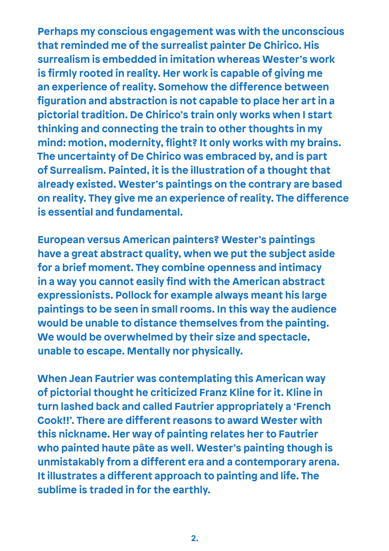**Perhaps my conscious engagement was with the unconscious that reminded me of the surrealist painter De Chirico. His surrealism is embedded in imitation whereas Wester's work is firmly rooted in reality. Her work is capable of giving me an experience of reality. Somehow the difference between figuration and abstraction is not capable to place her art in a pictorial tradition. De Chirico's train only works when I start thinking and connecting the train to other thoughts in my mind: motion, modernity, flight? It only works with my brains. The uncertainty of De Chirico was embraced by, and is part of Surrealism. Painted, it is the illustration of a thought that already existed. Wester's paintings on the contrary are based on reality. They give me an experience of reality. The difference is essential and fundamental.**

**European versus American painters? Wester's paintings have a great abstract quality, when we put the subject aside for a brief moment. They combine openness and intimacy in a way you cannot easily find with the American abstract expressionists. Pollock for example always meant his large paintings to be seen in small rooms. In this way the audience would be unable to distance themselves from the painting. We would be overwhelmed by their size and spectacle, unable to escape. Mentally nor physically.**

**When Jean Fautrier was contemplating this American way of pictorial thought he criticized Franz Kline for it. Kline in turn lashed back and called Fautrier appropriately a 'French Cook!!'. There are different reasons to award Wester with this nickname. Her way of painting relates her to Fautrier who painted haute pâte as well. Wester's painting though is unmistakably from a different era and a contemporary arena. It illustrates a different approach to painting and life. The sublime is traded in for the earthly.**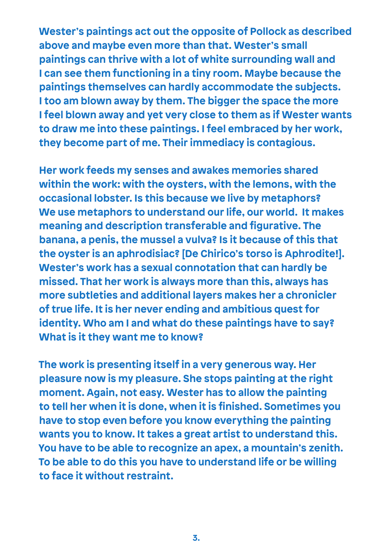**Wester's paintings act out the opposite of Pollock as described above and maybe even more than that. Wester's small paintings can thrive with a lot of white surrounding wall and I can see them functioning in a tiny room. Maybe because the paintings themselves can hardly accommodate the subjects. I too am blown away by them. The bigger the space the more I feel blown away and yet very close to them as if Wester wants to draw me into these paintings. I feel embraced by her work, they become part of me. Their immediacy is contagious.**

**Her work feeds my senses and awakes memories shared within the work: with the oysters, with the lemons, with the occasional lobster. Is this because we live by metaphors? We use metaphors to understand our life, our world. It makes meaning and description transferable and figurative. The banana, a penis, the mussel a vulva? Is it because of this that the oyster is an aphrodisiac? [De Chirico's torso is Aphrodite!]. Wester's work has a sexual connotation that can hardly be missed. That her work is always more than this, always has more subtleties and additional layers makes her a chronicler of true life. It is her never ending and ambitious quest for identity. Who am I and what do these paintings have to say? What is it they want me to know?**

**The work is presenting itself in a very generous way. Her pleasure now is my pleasure. She stops painting at the right moment. Again, not easy. Wester has to allow the painting to tell her when it is done, when it is finished. Sometimes you have to stop even before you know everything the painting wants you to know. It takes a great artist to understand this. You have to be able to recognize an apex, a mountain's zenith. To be able to do this you have to understand life or be willing to face it without restraint.**